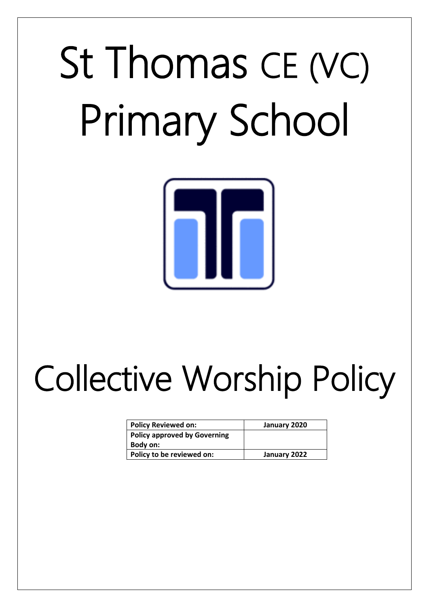# St Thomas CE (VC) Primary School



## Collective Worship Policy

| <b>Policy Reviewed on:</b>          | January 2020 |
|-------------------------------------|--------------|
| <b>Policy approved by Governing</b> |              |
| Body on:                            |              |
| Policy to be reviewed on:           | January 2022 |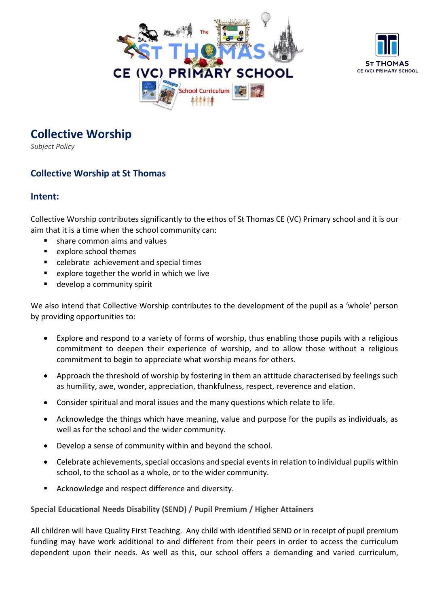



### **Collective Worship**

*Subject Policy*

#### **Collective Worship at St Thomas**

#### **Intent:**

Collective Worship contributes significantly to the ethos of St Thomas CE (VC) Primary school and it is our aim that it is a time when the school community can:

- share common aims and values
- explore school themes
- celebrate achievement and special times
- explore together the world in which we live
- develop a community spirit

We also intend that Collective Worship contributes to the development of the pupil as a 'whole' person by providing opportunities to:

- Explore and respond to a variety of forms of worship, thus enabling those pupils with a religious commitment to deepen their experience of worship, and to allow those without a religious commitment to begin to appreciate what worship means for others.
- Approach the threshold of worship by fostering in them an attitude characterised by feelings such as humility, awe, wonder, appreciation, thankfulness, respect, reverence and elation.
- Consider spiritual and moral issues and the many questions which relate to life.
- Acknowledge the things which have meaning, value and purpose for the pupils as individuals, as well as for the school and the wider community.
- Develop a sense of community within and beyond the school.
- Celebrate achievements, special occasions and special events in relation to individual pupils within school, to the school as a whole, or to the wider community.
- Acknowledge and respect difference and diversity.

**Special Educational Needs Disability (SEND) / Pupil Premium / Higher Attainers**

All children will have Quality First Teaching. Any child with identified SEND or in receipt of pupil premium funding may have work additional to and different from their peers in order to access the curriculum dependent upon their needs. As well as this, our school offers a demanding and varied curriculum,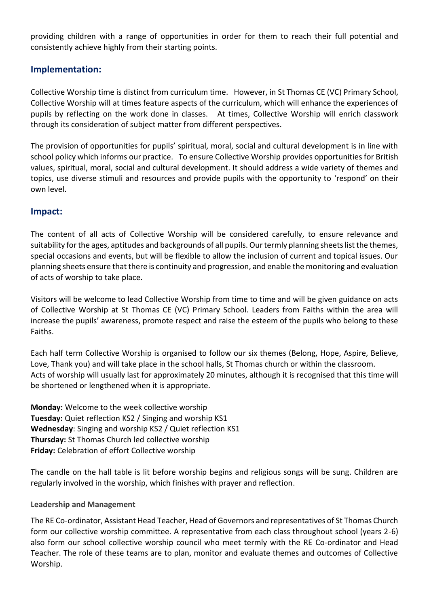providing children with a range of opportunities in order for them to reach their full potential and consistently achieve highly from their starting points.

#### **Implementation:**

Collective Worship time is distinct from curriculum time. However, in St Thomas CE (VC) Primary School, Collective Worship will at times feature aspects of the curriculum, which will enhance the experiences of pupils by reflecting on the work done in classes. At times, Collective Worship will enrich classwork through its consideration of subject matter from different perspectives.

The provision of opportunities for pupils' spiritual, moral, social and cultural development is in line with school policy which informs our practice. To ensure Collective Worship provides opportunities for British values, spiritual, moral, social and cultural development. It should address a wide variety of themes and topics, use diverse stimuli and resources and provide pupils with the opportunity to 'respond' on their own level.

#### **Impact:**

The content of all acts of Collective Worship will be considered carefully, to ensure relevance and suitability for the ages, aptitudes and backgrounds of all pupils. Our termly planning sheets list the themes, special occasions and events, but will be flexible to allow the inclusion of current and topical issues. Our planning sheets ensure that there is continuity and progression, and enable the monitoring and evaluation of acts of worship to take place.

Visitors will be welcome to lead Collective Worship from time to time and will be given guidance on acts of Collective Worship at St Thomas CE (VC) Primary School. Leaders from Faiths within the area will increase the pupils' awareness, promote respect and raise the esteem of the pupils who belong to these Faiths.

Each half term Collective Worship is organised to follow our six themes (Belong, Hope, Aspire, Believe, Love, Thank you) and will take place in the school halls, St Thomas church or within the classroom. Acts of worship will usually last for approximately 20 minutes, although it is recognised that this time will be shortened or lengthened when it is appropriate.

**Monday:** Welcome to the week collective worship **Tuesday:** Quiet reflection KS2 / Singing and worship KS1 **Wednesday**: Singing and worship KS2 / Quiet reflection KS1 **Thursday:** St Thomas Church led collective worship **Friday:** Celebration of effort Collective worship

The candle on the hall table is lit before worship begins and religious songs will be sung. Children are regularly involved in the worship, which finishes with prayer and reflection.

#### **Leadership and Management**

The RE Co-ordinator, Assistant Head Teacher, Head of Governors and representatives of St Thomas Church form our collective worship committee. A representative from each class throughout school (years 2-6) also form our school collective worship council who meet termly with the RE Co-ordinator and Head Teacher. The role of these teams are to plan, monitor and evaluate themes and outcomes of Collective Worship.